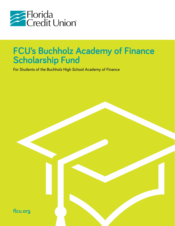

# **FCU's Buchholz Academy of Finance Scholarship Fund**

**For Students of the Buchholz High School Academy of Finance**

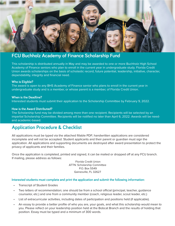

## **FCU Buchholz Academy of Finance Scholarship Fund**

This scholarship is distributed annually in May and may be awarded to one or more Buchholz High School Academy of Finance seniors who plan to enroll in the current year in undergraduate study. Florida Credit Union awards scholarships on the basis of scholastic record, future potential, leadership, initiative, character, dependability, integrity and financial need.

#### **Who is Eligible?**

The award is open to any BHS Academy of Finance senior who plans to enroll in the current year in undergraduate study and is a member, or whose parent is a member, of Florida Credit Union.

#### **When is the Deadline?**

Interested students must submit their application to the Scholarship Committee by February 9, 2022.

#### **How is the Award Distributed?**

The Scholarship fund may be divided among more than one recipient. Recipients will be selected by an impartial Scholarship Committee. Recipients will be notified no later than April 6, 2022. Awards will be needand academic-based.

## **Application Procedure & Checklist**

All applications must be typed via the attached fillable PDF; handwritten applications are considered incomplete and will not be accepted. Student applicants and their parent or guardian must sign the application. All applications and supporting documents are destroyed after award presentation to protect the privacy of applicants and their families.

Once the application is completed, printed and signed, it can be mailed or dropped off at any FCU branch. If mailing, please address as follows:

> Florida Credit Union ATTN: Scholarship Committee P.O. Box 5549 Gainesville, FL 32627

#### **Interested students must complete and print the application and submit the following information:**

- Transcript of Student Grades
- Two letters of recommendation; one should be from a school official (principal, teacher, guidance counselor, etc.) and one from a community member (coach, religious leader, scout leader, etc.)
- List of extracurricular activities, including dates of participation and positions held (if applicable).
- An essay to provide a better profile of who you are, your goals, and what this scholarship would mean to you. Please reflect on your leadership position held at the Bobcat Branch and the results of holding that position. Essay must be typed and a minimum of 300 words.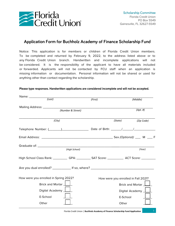

## **Application Form for Buchholz Academy of Finance Scholarship Fund**

Notice: This application is for members or children of Florida Credit Union members. To be completed and returned by February 9, 2022, to the address listed above or to any Florida Credit Union branch. Handwritten and incomplete applications will not be considered. It is the responsibility of the applicant to have all materials included or forwarded. Applicants will not be contacted by FCU staff when an application is missing information or documentation. Personal information will not be shared or used for anything other than contact regarding the scholarship.

#### **Please type responses. Handwritten applications are considered incomplete and will not be accepted.**

| Name: __________                                                                                         |         |                         |                                     |  |
|----------------------------------------------------------------------------------------------------------|---------|-------------------------|-------------------------------------|--|
| $\overline{(Last)}$                                                                                      | (First) | (Middle)                |                                     |  |
|                                                                                                          |         |                         |                                     |  |
| (Number & Street)                                                                                        |         |                         | (Apt.  #)                           |  |
| (City)                                                                                                   |         | (State)                 | (Zip Code)                          |  |
|                                                                                                          |         |                         |                                     |  |
|                                                                                                          |         |                         |                                     |  |
|                                                                                                          |         |                         |                                     |  |
| (High School)                                                                                            |         |                         | (Year)                              |  |
| High School Class Rank: _____________GPA: _____________SAT Score: ______________ ACT Score: ____________ |         |                         |                                     |  |
|                                                                                                          |         |                         |                                     |  |
| How were you enrolled in Spring 2022?                                                                    |         |                         | How were you enrolled in Fall 2021? |  |
| Brick and Mortar                                                                                         |         | <b>Brick and Mortar</b> |                                     |  |
| Digital Academy $\boxed{\phantom{a}}$                                                                    |         | Digital Academy         |                                     |  |
| E-School                                                                                                 |         | E-School                |                                     |  |
| Other                                                                                                    |         | Other                   |                                     |  |

Florida Credit Union | **Buchholz Academy of Finance Scholarship Fund Application**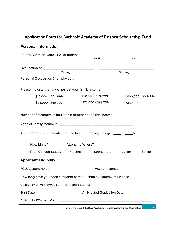# **Application Form for Buchholz Academy of Finance Scholarship Fund**

## **Personal Information**

| Parent/Guardian Name (if 21 or under)<br>(Last) (First)                          |                                                |                                                  |  |  |
|----------------------------------------------------------------------------------|------------------------------------------------|--------------------------------------------------|--|--|
|                                                                                  |                                                |                                                  |  |  |
|                                                                                  |                                                |                                                  |  |  |
| (Father)                                                                         | (Mother)                                       |                                                  |  |  |
|                                                                                  |                                                |                                                  |  |  |
|                                                                                  |                                                |                                                  |  |  |
| Please indicate the range nearest your family income:                            |                                                |                                                  |  |  |
| $\text{\_}\$10,000$ - \$24,999 $\text{\_}\$50,000$ - \$74,999                    |                                                | $\underline{\hspace{1cm}}$ \$100,000 - \$149,999 |  |  |
| ___\$25,000 - \$49,999                                                           | $\frac{1}{2}$ \$75,000 - \$99,999              | $-$ \$150,000+                                   |  |  |
|                                                                                  |                                                |                                                  |  |  |
| Number of members in household dependent on this income: ____________            |                                                |                                                  |  |  |
|                                                                                  |                                                |                                                  |  |  |
|                                                                                  |                                                |                                                  |  |  |
| Are there any other members of the family attending college: _____ Y _____ N     |                                                |                                                  |  |  |
|                                                                                  |                                                |                                                  |  |  |
|                                                                                  |                                                |                                                  |  |  |
| Their College Status: ____Freshman ____Sophomore ____Junior ____Senior           |                                                |                                                  |  |  |
| <b>Applicant Eligibility</b>                                                     |                                                |                                                  |  |  |
|                                                                                  |                                                |                                                  |  |  |
| How long have you been a student of the Buchholz Academy of Finance? ___________ |                                                |                                                  |  |  |
| College or University you currently/plan to attend:_____________________________ |                                                |                                                  |  |  |
| Start Date: ______________                                                       | Anticipated Graduation Date: _________________ |                                                  |  |  |
|                                                                                  |                                                |                                                  |  |  |